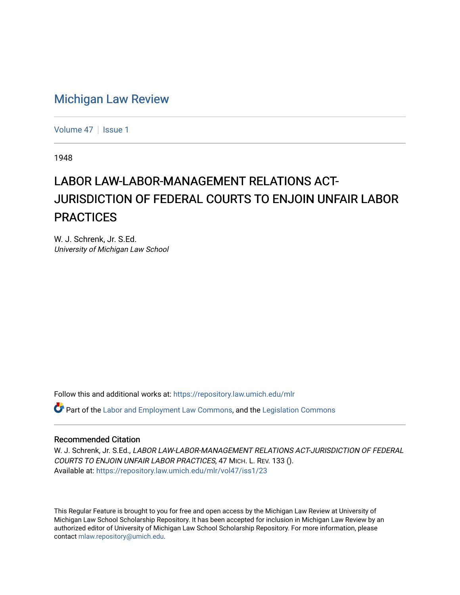## [Michigan Law Review](https://repository.law.umich.edu/mlr)

[Volume 47](https://repository.law.umich.edu/mlr/vol47) | [Issue 1](https://repository.law.umich.edu/mlr/vol47/iss1)

1948

## LABOR LAW-LABOR-MANAGEMENT RELATIONS ACT-JURISDICTION OF FEDERAL COURTS TO ENJOIN UNFAIR LABOR **PRACTICES**

W. J. Schrenk, Jr. S.Ed. University of Michigan Law School

Follow this and additional works at: [https://repository.law.umich.edu/mlr](https://repository.law.umich.edu/mlr?utm_source=repository.law.umich.edu%2Fmlr%2Fvol47%2Fiss1%2F23&utm_medium=PDF&utm_campaign=PDFCoverPages) 

 $\bullet$  Part of the [Labor and Employment Law Commons](http://network.bepress.com/hgg/discipline/909?utm_source=repository.law.umich.edu%2Fmlr%2Fvol47%2Fiss1%2F23&utm_medium=PDF&utm_campaign=PDFCoverPages), and the Legislation Commons

## Recommended Citation

W. J. Schrenk, Jr. S.Ed., LABOR LAW-LABOR-MANAGEMENT RELATIONS ACT-JURISDICTION OF FEDERAL COURTS TO ENJOIN UNFAIR LABOR PRACTICES, 47 MICH. L. REV. 133 (). Available at: [https://repository.law.umich.edu/mlr/vol47/iss1/23](https://repository.law.umich.edu/mlr/vol47/iss1/23?utm_source=repository.law.umich.edu%2Fmlr%2Fvol47%2Fiss1%2F23&utm_medium=PDF&utm_campaign=PDFCoverPages) 

This Regular Feature is brought to you for free and open access by the Michigan Law Review at University of Michigan Law School Scholarship Repository. It has been accepted for inclusion in Michigan Law Review by an authorized editor of University of Michigan Law School Scholarship Repository. For more information, please contact [mlaw.repository@umich.edu](mailto:mlaw.repository@umich.edu).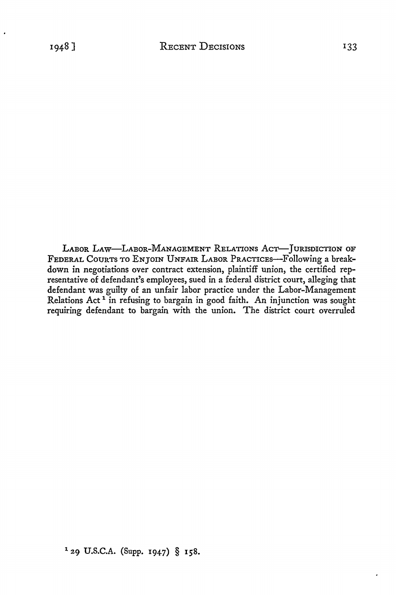LABOR LAW-LABOR-MANAGEMENT RELATIONS AcT-JURISDICTION OF FEDERAL COURTS TO ENJOIN UNFAIR LABOR PRACTICES-Following a breakdown in negotiations over contract extension, plaintiff union, the certified representative of defendant's employees, sued in a federal district court, alleging that defendant was guilty of an unfair labor practice under the Labor-Management Relations Act<sup>1</sup> in refusing to bargain in good faith. An injunction was sought requiring defendant to bargain with the union. The district court overruled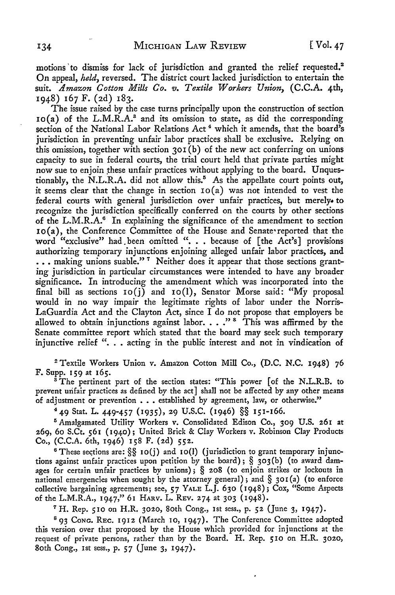motions to dismiss for lack of jurisdiction and granted the relief requested.<sup>2</sup> On appeal, *held,* reversed. The district court lacked jurisdiction to entertain the suit. *Amazon Cotton Mills Co. v. Textile Workers Union,* (C.C.A. 4th, 1948) 167 F. (2d) 183.

The issue raised by the case turns principally upon the construction of section 10(a) of the L.M.R.A.<sup>8</sup> and its omission to state, as did the corresponding section of the National Labor Relations Act<sup>4</sup> which it amends, that the board's jurisdiction in preventing unfair labor practices shall be exclusive. Relying on this omission, together with section  $301(b)$  of the new act conferring on unions capacity to sue in federal courts, the trial court held that private parties might now sue to enjoin these unfair practices without applying to the board. Unquestionably, the N.L.R.A. did not allow this.<sup>5</sup> As the appellate court points out, it seems clear that the change in section  $io(a)$  was not intended to vest the federal courts with general jurisdiction over unfair practices, but merely• to recognize the jurisdiction specifically conferred on the courts by other sections of the L.M.R.A.<sup>6</sup> In explaining the significance of the amendment to section  $10(a)$ , the Conference Committee of the House and Senate• reported that the word "exclusive" had been omitted ". . . because of [the Act's] provisions authorizing temporary injunctions enjoining alleged unfair labor practices, and ... making unions suable."<sup>7</sup> Neither does it appear that those sections granting jurisdiction in particular circumstances were intended to have any broader significance. In introducing the amendment which was incorporated into the final bill as sections  $io(j)$  and  $io(l)$ , Senator Morse said: "My proposal would in no way impair the legitimate rights of labor under the Norris-LaGuardia Act and the Clayton Act, since I do not propose that employers be allowed to obtain injunctions against labor.  $\ldots$ ."<sup>8</sup> This was affirmed by the Senate committee report which stated that the board may seek such temporary injunctive relief ". . acting in the public interest and not in vindication of

<sup>2</sup>Textile Workers Union v. Amazon Cotton Mill Co., (D.C. N.C. 1948) 76 F. Supp. 159 at 165.

 $3$  The pertinent part of the section states: "This power [of the N.L.R.B. to prevent urifair practices as defined by the act] shall not be affected by any other means of adjustment or prevention . . . established by agreement, law, or otherwise."

4 49 Stat. L. 449-457 (1935), 29 U.S.C. (1946) §§ 15I-I66.

<sup>5</sup>Amalgamated Utility Workers v. Consolidated Edison Co., 309 U.S. 261 at 269, 60 S.Ct. 561 (1940); United Brick & Clay Workers v. Robinson Clay Products Co., (C.C.A. 6th, 1946) 158 F. (2d) 552.

<sup>6</sup> These sections are:  $\S$ § 10(j) and 10(l) (jurisdiction to grant temporary injunctions against unfair practices upon petition by the board) ; § 303 (b) ( to award damages for certain unfair practices by unions); § 208 (to enjoin strikes or lockouts in national emergencies when sought by the attorney general); and  $\S$  301(a) (to enforce collective bargaining agreements; see, 57 YALE L.J. 630 ( 1948); Cox, "Some Aspects of the L.M.R.A., 1947," 61 HARV. L. REv. 274 at 303 (1948).

<sup>7</sup> H. Rep. 510 on H.R. 3020, 80th Cong., 1st sess., p. 52 (June 3, 1947).

<sup>8</sup> 93 Cong. REC. 1912 (March 10, 1947). The Conference Committee adopted this version over that proposed by the House which provided for injunctions at the request of private persons, rather than by the Board. H. Rep. 510 on H.R. 3020, 80th Cong., 1st sess., p. 57 (June 3, 1947).